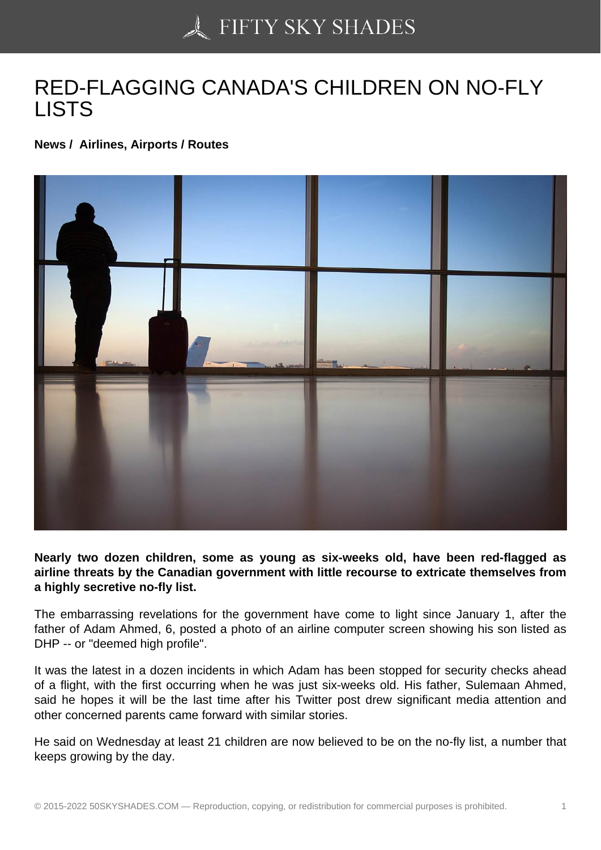## [RED-FLAGGING CAN](https://50skyshades.com)ADA'S CHILDREN ON NO-FLY LISTS

News / Airlines, Airports / Routes

Nearly two dozen children, some as young as six-weeks old, have been red-flagged as airline threats by the Canadian government with little recourse to extricate themselves from a highly secretive no-fly list.

The embarrassing revelations for the government have come to light since January 1, after the father of Adam Ahmed, 6, posted a photo of an airline computer screen showing his son listed as DHP -- or "deemed high profile".

It was the latest in a dozen incidents in which Adam has been stopped for security checks ahead of a flight, with the first occurring when he was just six-weeks old. His father, Sulemaan Ahmed, said he hopes it will be the last time after his Twitter post drew significant media attention and other concerned parents came forward with similar stories.

He said on Wednesday at least 21 children are now believed to be on the no-fly list, a number that keeps growing by the day.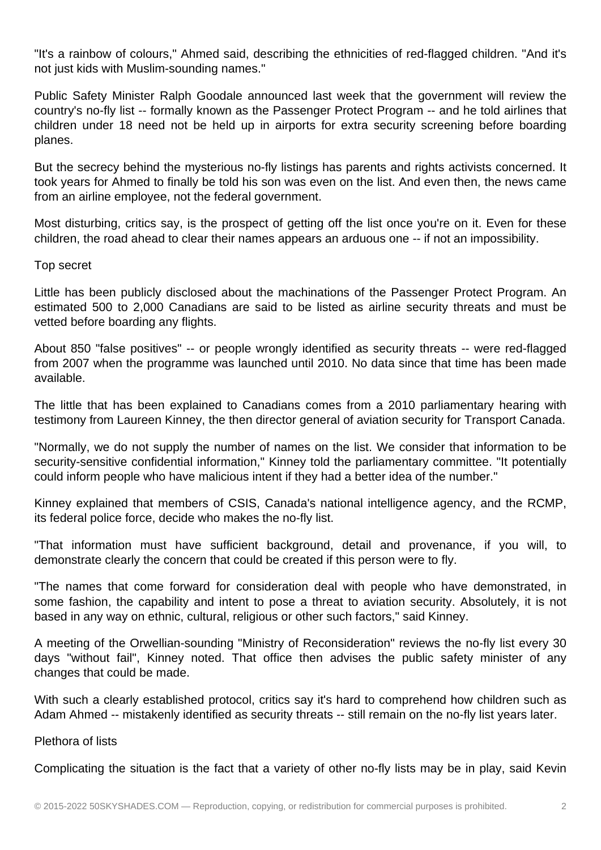"It's a rainbow of colours," Ahmed said, describing the ethnicities of red-flagged children. "And it's not just kids with Muslim-sounding names."

Public Safety Minister Ralph Goodale announced last week that the government will review the country's no-fly list -- formally known as the Passenger Protect Program -- and he told airlines that children under 18 need not be held up in airports for extra security screening before boarding planes.

But the secrecy behind the mysterious no-fly listings has parents and rights activists concerned. It took years for Ahmed to finally be told his son was even on the list. And even then, the news came from an airline employee, not the federal government.

Most disturbing, critics say, is the prospect of getting off the list once you're on it. Even for these children, the road ahead to clear their names appears an arduous one -- if not an impossibility.

## Top secret

Little has been publicly disclosed about the machinations of the Passenger Protect Program. An estimated 500 to 2,000 Canadians are said to be listed as airline security threats and must be vetted before boarding any flights.

About 850 "false positives" -- or people wrongly identified as security threats -- were red-flagged from 2007 when the programme was launched until 2010. No data since that time has been made available.

The little that has been explained to Canadians comes from a 2010 parliamentary hearing with testimony from Laureen Kinney, the then director general of aviation security for Transport Canada.

"Normally, we do not supply the number of names on the list. We consider that information to be security-sensitive confidential information," Kinney told the parliamentary committee. "It potentially could inform people who have malicious intent if they had a better idea of the number."

Kinney explained that members of CSIS, Canada's national intelligence agency, and the RCMP, its federal police force, decide who makes the no-fly list.

"That information must have sufficient background, detail and provenance, if you will, to demonstrate clearly the concern that could be created if this person were to fly.

"The names that come forward for consideration deal with people who have demonstrated, in some fashion, the capability and intent to pose a threat to aviation security. Absolutely, it is not based in any way on ethnic, cultural, religious or other such factors," said Kinney.

A meeting of the Orwellian-sounding "Ministry of Reconsideration" reviews the no-fly list every 30 days "without fail", Kinney noted. That office then advises the public safety minister of any changes that could be made.

With such a clearly established protocol, critics say it's hard to comprehend how children such as Adam Ahmed -- mistakenly identified as security threats -- still remain on the no-fly list years later.

Plethora of lists

Complicating the situation is the fact that a variety of other no-fly lists may be in play, said Kevin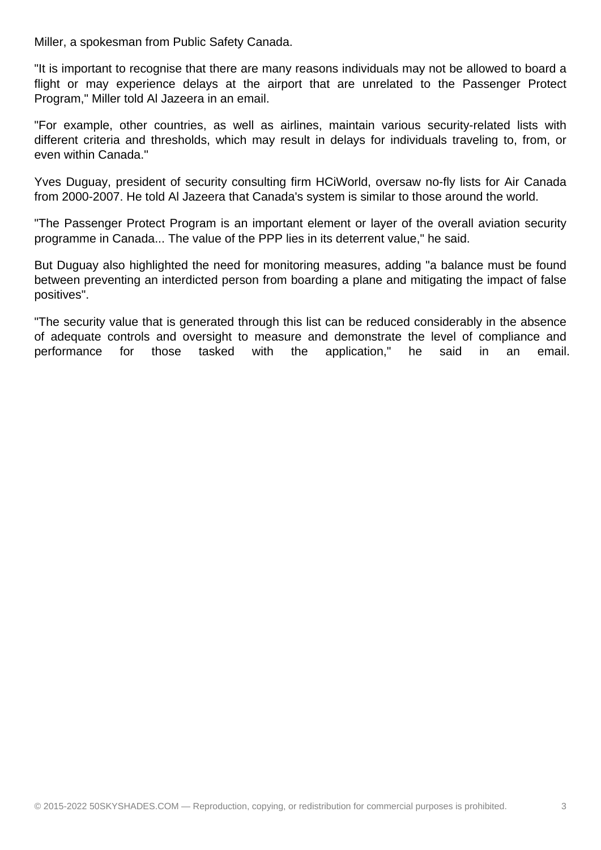Miller, a spokesman from Public Safety Canada.

"It is important to recognise that there are many reasons individuals may not be allowed to board a flight or may experience delays at the airport that are unrelated to the Passenger Protect Program," Miller told Al Jazeera in an email.

"For example, other countries, as well as airlines, maintain various security-related lists with different criteria and thresholds, which may result in delays for individuals traveling to, from, or even within Canada."

Yves Duguay, president of security consulting firm HCiWorld, oversaw no-fly lists for Air Canada from 2000-2007. He told Al Jazeera that Canada's system is similar to those around the world.

"The Passenger Protect Program is an important element or layer of the overall aviation security programme in Canada... The value of the PPP lies in its deterrent value," he said.

But Duguay also highlighted the need for monitoring measures, adding "a balance must be found between preventing an interdicted person from boarding a plane and mitigating the impact of false positives".

"The security value that is generated through this list can be reduced considerably in the absence of adequate controls and oversight to measure and demonstrate the level of compliance and performance for those tasked with the application," he said in an email.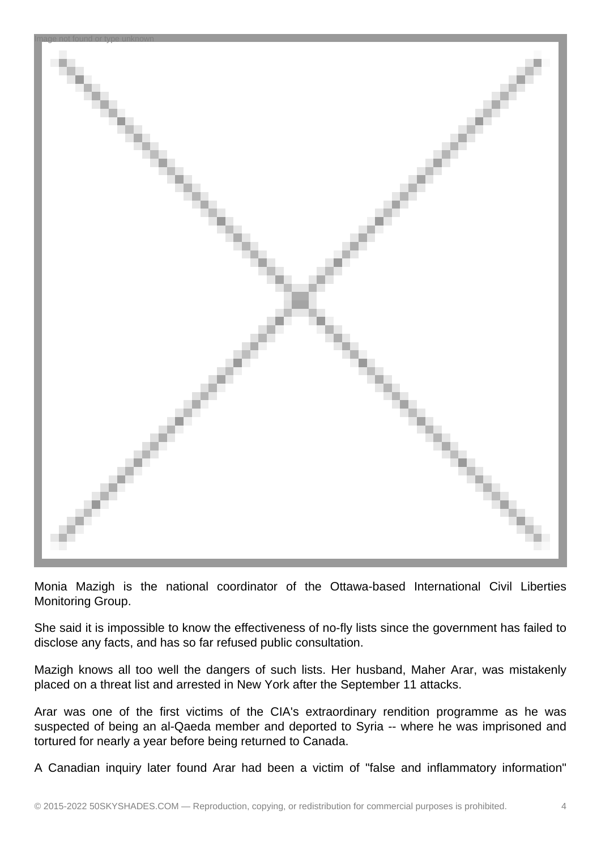

Monia Mazigh is the national coordinator of the Ottawa-based International Civil Liberties Monitoring Group.

She said it is impossible to know the effectiveness of no-fly lists since the government has failed to disclose any facts, and has so far refused public consultation.

Mazigh knows all too well the dangers of such lists. Her husband, Maher Arar, was mistakenly placed on a threat list and arrested in New York after the September 11 attacks.

Arar was one of the first victims of the CIA's extraordinary rendition programme as he was suspected of being an al-Qaeda member and deported to Syria -- where he was imprisoned and tortured for nearly a year before being returned to Canada.

A Canadian inquiry later found Arar had been a victim of "false and inflammatory information"